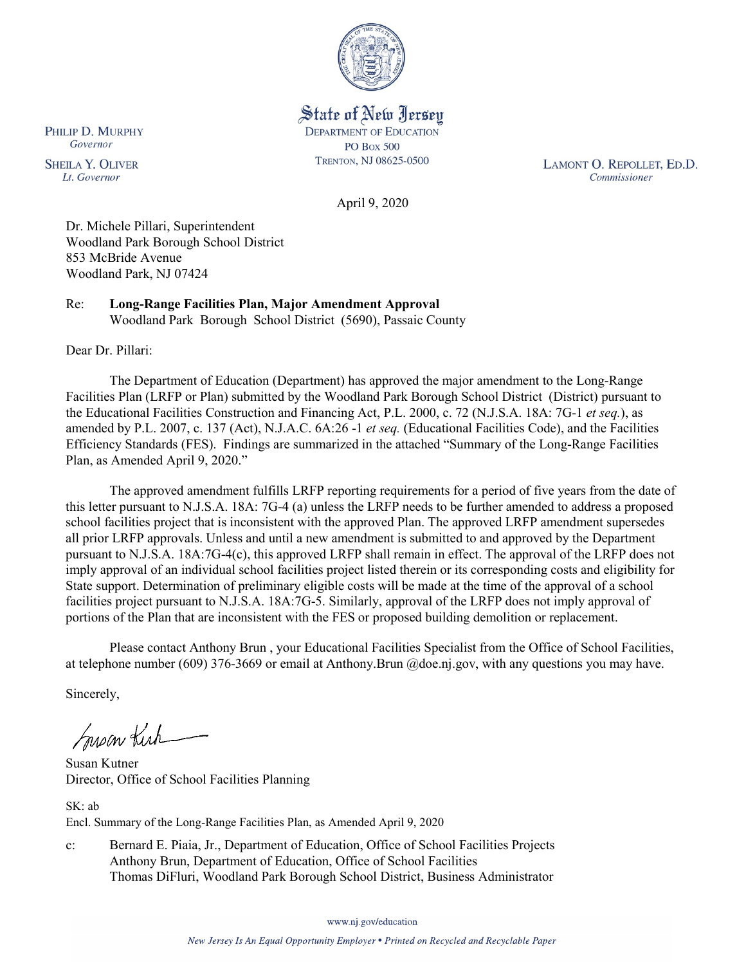

State of New Jersey **DEPARTMENT OF EDUCATION PO Box 500** TRENTON, NJ 08625-0500

LAMONT O. REPOLLET, ED.D. Commissioner

April 9, 2020

Dr. Michele Pillari, Superintendent Woodland Park Borough School District 853 McBride Avenue Woodland Park, NJ 07424

Re: **Long-Range Facilities Plan, Major Amendment Approval** Woodland Park Borough School District (5690), Passaic County

Dear Dr. Pillari:

The Department of Education (Department) has approved the major amendment to the Long-Range Facilities Plan (LRFP or Plan) submitted by the Woodland Park Borough School District (District) pursuant to the Educational Facilities Construction and Financing Act, P.L. 2000, c. 72 (N.J.S.A. 18A: 7G-1 *et seq.*), as amended by P.L. 2007, c. 137 (Act), N.J.A.C. 6A:26 -1 *et seq.* (Educational Facilities Code), and the Facilities Efficiency Standards (FES). Findings are summarized in the attached "Summary of the Long-Range Facilities Plan, as Amended April 9, 2020."

The approved amendment fulfills LRFP reporting requirements for a period of five years from the date of this letter pursuant to N.J.S.A. 18A: 7G-4 (a) unless the LRFP needs to be further amended to address a proposed school facilities project that is inconsistent with the approved Plan. The approved LRFP amendment supersedes all prior LRFP approvals. Unless and until a new amendment is submitted to and approved by the Department pursuant to N.J.S.A. 18A:7G-4(c), this approved LRFP shall remain in effect. The approval of the LRFP does not imply approval of an individual school facilities project listed therein or its corresponding costs and eligibility for State support. Determination of preliminary eligible costs will be made at the time of the approval of a school facilities project pursuant to N.J.S.A. 18A:7G-5. Similarly, approval of the LRFP does not imply approval of portions of the Plan that are inconsistent with the FES or proposed building demolition or replacement.

Please contact Anthony Brun , your Educational Facilities Specialist from the Office of School Facilities, at telephone number (609) 376-3669 or email at Anthony.Brun @doe.nj.gov, with any questions you may have.

Sincerely,

Suson Kich

Susan Kutner Director, Office of School Facilities Planning

SK: ab Encl. Summary of the Long-Range Facilities Plan, as Amended April 9, 2020

c: Bernard E. Piaia, Jr., Department of Education, Office of School Facilities Projects Anthony Brun, Department of Education, Office of School Facilities Thomas DiFluri, Woodland Park Borough School District, Business Administrator

www.nj.gov/education

New Jersey Is An Equal Opportunity Employer . Printed on Recycled and Recyclable Paper

PHILIP D. MURPHY Governor

**SHEILA Y. OLIVER** Lt. Governor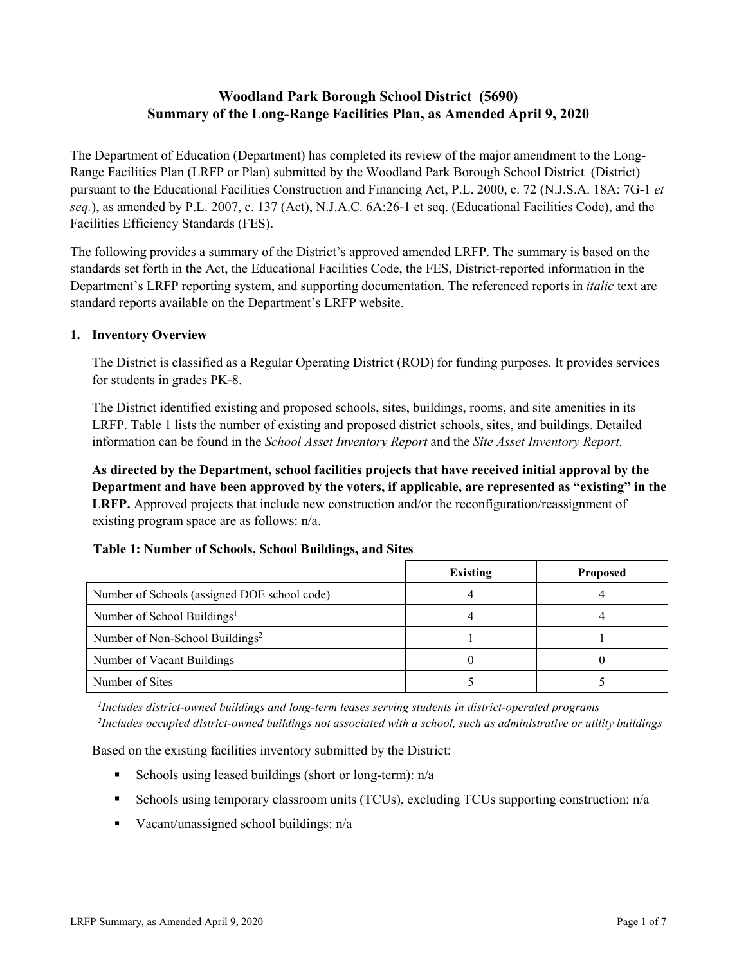# **Woodland Park Borough School District (5690) Summary of the Long-Range Facilities Plan, as Amended April 9, 2020**

The Department of Education (Department) has completed its review of the major amendment to the Long-Range Facilities Plan (LRFP or Plan) submitted by the Woodland Park Borough School District (District) pursuant to the Educational Facilities Construction and Financing Act, P.L. 2000, c. 72 (N.J.S.A. 18A: 7G-1 *et seq.*), as amended by P.L. 2007, c. 137 (Act), N.J.A.C. 6A:26-1 et seq. (Educational Facilities Code), and the Facilities Efficiency Standards (FES).

The following provides a summary of the District's approved amended LRFP. The summary is based on the standards set forth in the Act, the Educational Facilities Code, the FES, District-reported information in the Department's LRFP reporting system, and supporting documentation. The referenced reports in *italic* text are standard reports available on the Department's LRFP website.

### **1. Inventory Overview**

The District is classified as a Regular Operating District (ROD) for funding purposes. It provides services for students in grades PK-8.

The District identified existing and proposed schools, sites, buildings, rooms, and site amenities in its LRFP. Table 1 lists the number of existing and proposed district schools, sites, and buildings. Detailed information can be found in the *School Asset Inventory Report* and the *Site Asset Inventory Report.*

**As directed by the Department, school facilities projects that have received initial approval by the Department and have been approved by the voters, if applicable, are represented as "existing" in the LRFP.** Approved projects that include new construction and/or the reconfiguration/reassignment of existing program space are as follows: n/a.

|  |  | Table 1: Number of Schools, School Buildings, and Sites |  |
|--|--|---------------------------------------------------------|--|
|--|--|---------------------------------------------------------|--|

|                                              | <b>Existing</b> | <b>Proposed</b> |
|----------------------------------------------|-----------------|-----------------|
| Number of Schools (assigned DOE school code) |                 |                 |
| Number of School Buildings <sup>1</sup>      |                 |                 |
| Number of Non-School Buildings <sup>2</sup>  |                 |                 |
| Number of Vacant Buildings                   |                 |                 |
| Number of Sites                              |                 |                 |

*1 Includes district-owned buildings and long-term leases serving students in district-operated programs 2 Includes occupied district-owned buildings not associated with a school, such as administrative or utility buildings*

Based on the existing facilities inventory submitted by the District:

- Schools using leased buildings (short or long-term):  $n/a$
- Schools using temporary classroom units (TCUs), excluding TCUs supporting construction: n/a
- Vacant/unassigned school buildings:  $n/a$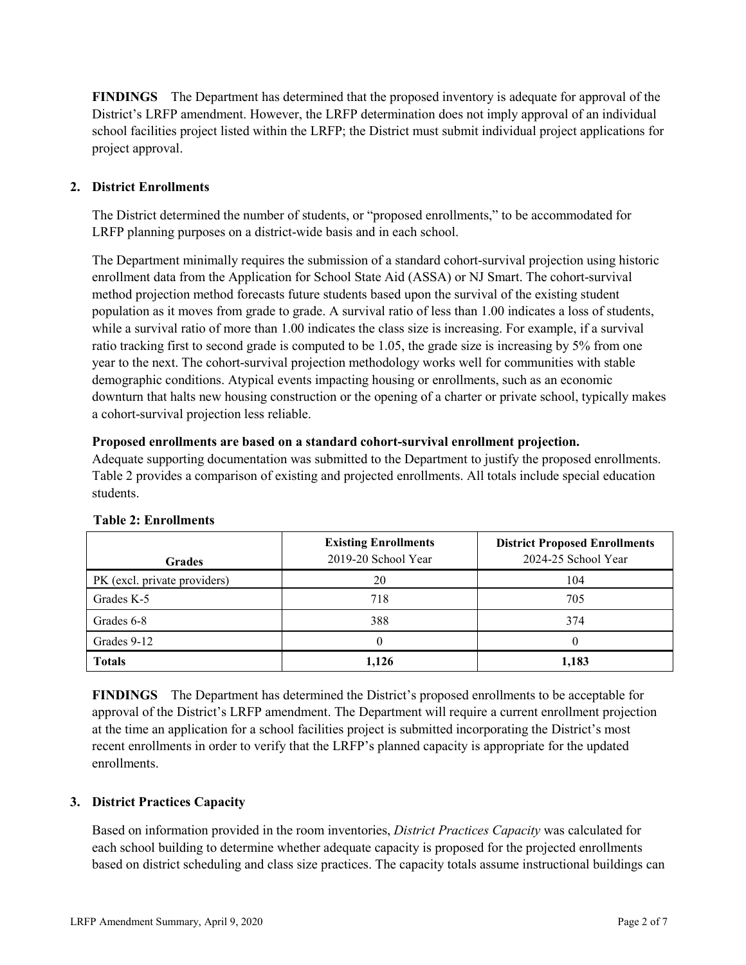**FINDINGS** The Department has determined that the proposed inventory is adequate for approval of the District's LRFP amendment. However, the LRFP determination does not imply approval of an individual school facilities project listed within the LRFP; the District must submit individual project applications for project approval.

## **2. District Enrollments**

The District determined the number of students, or "proposed enrollments," to be accommodated for LRFP planning purposes on a district-wide basis and in each school.

The Department minimally requires the submission of a standard cohort-survival projection using historic enrollment data from the Application for School State Aid (ASSA) or NJ Smart. The cohort-survival method projection method forecasts future students based upon the survival of the existing student population as it moves from grade to grade. A survival ratio of less than 1.00 indicates a loss of students, while a survival ratio of more than 1.00 indicates the class size is increasing. For example, if a survival ratio tracking first to second grade is computed to be 1.05, the grade size is increasing by 5% from one year to the next. The cohort-survival projection methodology works well for communities with stable demographic conditions. Atypical events impacting housing or enrollments, such as an economic downturn that halts new housing construction or the opening of a charter or private school, typically makes a cohort-survival projection less reliable.

### **Proposed enrollments are based on a standard cohort-survival enrollment projection.**

Adequate supporting documentation was submitted to the Department to justify the proposed enrollments. Table 2 provides a comparison of existing and projected enrollments. All totals include special education students.

| <b>Grades</b>                | <b>Existing Enrollments</b><br>2019-20 School Year | <b>District Proposed Enrollments</b><br>2024-25 School Year |
|------------------------------|----------------------------------------------------|-------------------------------------------------------------|
| PK (excl. private providers) | 20                                                 | 104                                                         |
| Grades K-5                   | 718                                                | 705                                                         |
| Grades 6-8                   | 388                                                | 374                                                         |
| Grades 9-12                  |                                                    |                                                             |
| <b>Totals</b>                | 1,126                                              | 1,183                                                       |

### **Table 2: Enrollments**

**FINDINGS** The Department has determined the District's proposed enrollments to be acceptable for approval of the District's LRFP amendment. The Department will require a current enrollment projection at the time an application for a school facilities project is submitted incorporating the District's most recent enrollments in order to verify that the LRFP's planned capacity is appropriate for the updated enrollments.

### **3. District Practices Capacity**

Based on information provided in the room inventories, *District Practices Capacity* was calculated for each school building to determine whether adequate capacity is proposed for the projected enrollments based on district scheduling and class size practices. The capacity totals assume instructional buildings can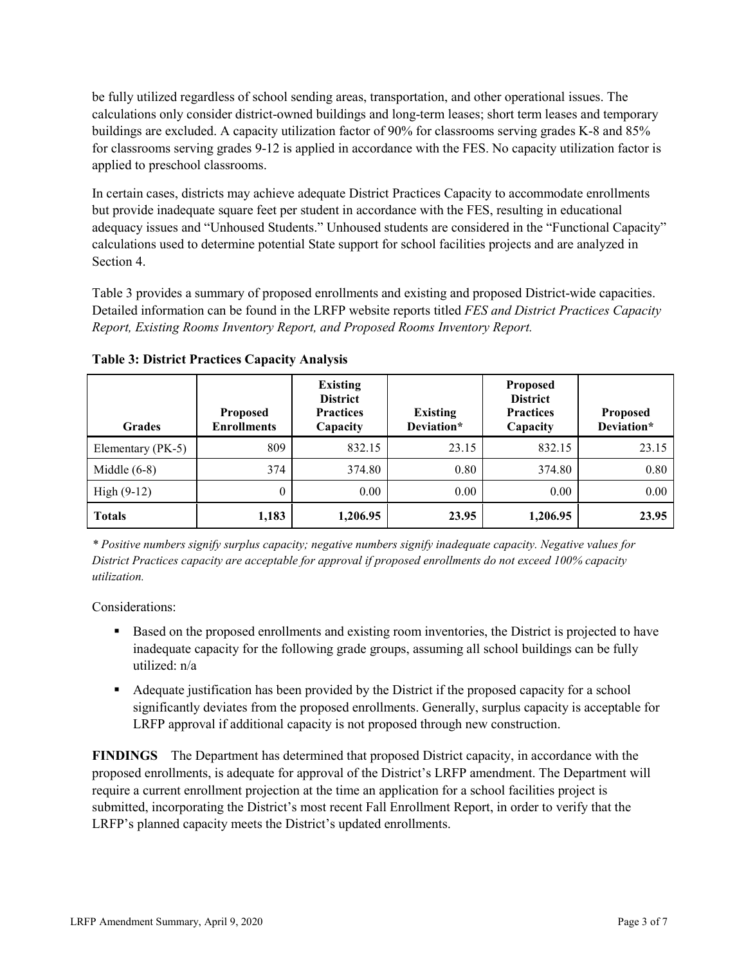be fully utilized regardless of school sending areas, transportation, and other operational issues. The calculations only consider district-owned buildings and long-term leases; short term leases and temporary buildings are excluded. A capacity utilization factor of 90% for classrooms serving grades K-8 and 85% for classrooms serving grades 9-12 is applied in accordance with the FES. No capacity utilization factor is applied to preschool classrooms.

In certain cases, districts may achieve adequate District Practices Capacity to accommodate enrollments but provide inadequate square feet per student in accordance with the FES, resulting in educational adequacy issues and "Unhoused Students." Unhoused students are considered in the "Functional Capacity" calculations used to determine potential State support for school facilities projects and are analyzed in Section 4.

Table 3 provides a summary of proposed enrollments and existing and proposed District-wide capacities. Detailed information can be found in the LRFP website reports titled *FES and District Practices Capacity Report, Existing Rooms Inventory Report, and Proposed Rooms Inventory Report.*

| <b>Grades</b>     | <b>Proposed</b><br><b>Enrollments</b> | <b>Existing</b><br><b>District</b><br><b>Practices</b><br>Capacity | <b>Existing</b><br>Deviation* | <b>Proposed</b><br><b>District</b><br><b>Practices</b><br>Capacity | <b>Proposed</b><br>Deviation* |
|-------------------|---------------------------------------|--------------------------------------------------------------------|-------------------------------|--------------------------------------------------------------------|-------------------------------|
| Elementary (PK-5) | 809                                   | 832.15                                                             | 23.15                         | 832.15                                                             | 23.15                         |
| Middle $(6-8)$    | 374                                   | 374.80                                                             | 0.80                          | 374.80                                                             | 0.80                          |
| High $(9-12)$     | $\theta$                              | 0.00                                                               | 0.00                          | 0.00                                                               | 0.00                          |
| <b>Totals</b>     | 1,183                                 | 1,206.95                                                           | 23.95                         | 1,206.95                                                           | 23.95                         |

**Table 3: District Practices Capacity Analysis**

*\* Positive numbers signify surplus capacity; negative numbers signify inadequate capacity. Negative values for District Practices capacity are acceptable for approval if proposed enrollments do not exceed 100% capacity utilization.*

Considerations:

- **Based on the proposed enrollments and existing room inventories, the District is projected to have** inadequate capacity for the following grade groups, assuming all school buildings can be fully utilized: n/a
- Adequate justification has been provided by the District if the proposed capacity for a school significantly deviates from the proposed enrollments. Generally, surplus capacity is acceptable for LRFP approval if additional capacity is not proposed through new construction.

**FINDINGS**The Department has determined that proposed District capacity, in accordance with the proposed enrollments, is adequate for approval of the District's LRFP amendment. The Department will require a current enrollment projection at the time an application for a school facilities project is submitted, incorporating the District's most recent Fall Enrollment Report, in order to verify that the LRFP's planned capacity meets the District's updated enrollments.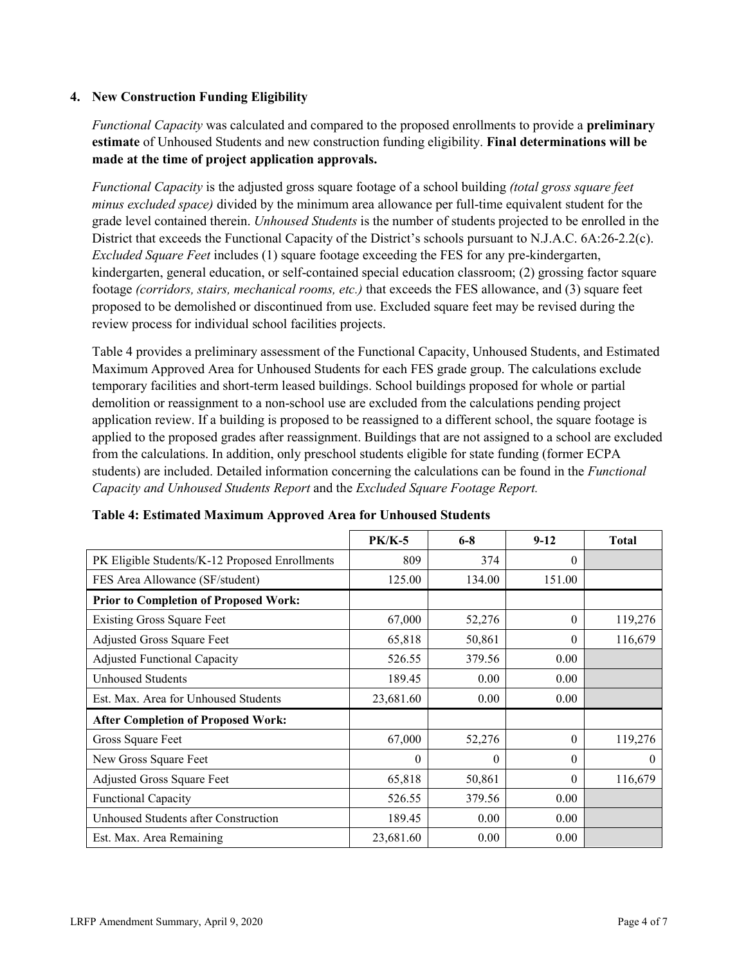### **4. New Construction Funding Eligibility**

*Functional Capacity* was calculated and compared to the proposed enrollments to provide a **preliminary estimate** of Unhoused Students and new construction funding eligibility. **Final determinations will be made at the time of project application approvals.**

*Functional Capacity* is the adjusted gross square footage of a school building *(total gross square feet minus excluded space)* divided by the minimum area allowance per full-time equivalent student for the grade level contained therein. *Unhoused Students* is the number of students projected to be enrolled in the District that exceeds the Functional Capacity of the District's schools pursuant to N.J.A.C. 6A:26-2.2(c). *Excluded Square Feet* includes (1) square footage exceeding the FES for any pre-kindergarten, kindergarten, general education, or self-contained special education classroom; (2) grossing factor square footage *(corridors, stairs, mechanical rooms, etc.)* that exceeds the FES allowance, and (3) square feet proposed to be demolished or discontinued from use. Excluded square feet may be revised during the review process for individual school facilities projects.

Table 4 provides a preliminary assessment of the Functional Capacity, Unhoused Students, and Estimated Maximum Approved Area for Unhoused Students for each FES grade group. The calculations exclude temporary facilities and short-term leased buildings. School buildings proposed for whole or partial demolition or reassignment to a non-school use are excluded from the calculations pending project application review. If a building is proposed to be reassigned to a different school, the square footage is applied to the proposed grades after reassignment. Buildings that are not assigned to a school are excluded from the calculations. In addition, only preschool students eligible for state funding (former ECPA students) are included. Detailed information concerning the calculations can be found in the *Functional Capacity and Unhoused Students Report* and the *Excluded Square Footage Report.*

|                                                | <b>PK/K-5</b> | $6 - 8$  | $9 - 12$ | <b>Total</b> |
|------------------------------------------------|---------------|----------|----------|--------------|
| PK Eligible Students/K-12 Proposed Enrollments | 809           | 374      | $\theta$ |              |
| FES Area Allowance (SF/student)                | 125.00        | 134.00   | 151.00   |              |
| <b>Prior to Completion of Proposed Work:</b>   |               |          |          |              |
| <b>Existing Gross Square Feet</b>              | 67,000        | 52,276   | $\theta$ | 119,276      |
| Adjusted Gross Square Feet                     | 65,818        | 50,861   | $\theta$ | 116,679      |
| <b>Adjusted Functional Capacity</b>            | 526.55        | 379.56   | 0.00     |              |
| Unhoused Students                              | 189.45        | 0.00     | 0.00     |              |
| Est. Max. Area for Unhoused Students           | 23,681.60     | 0.00     | 0.00     |              |
| <b>After Completion of Proposed Work:</b>      |               |          |          |              |
| Gross Square Feet                              | 67,000        | 52,276   | $\theta$ | 119,276      |
| New Gross Square Feet                          | $\theta$      | $\theta$ | $\theta$ | $\theta$     |
| Adjusted Gross Square Feet                     | 65,818        | 50,861   | $\Omega$ | 116,679      |
| Functional Capacity                            | 526.55        | 379.56   | 0.00     |              |
| Unhoused Students after Construction           | 189.45        | 0.00     | 0.00     |              |
| Est. Max. Area Remaining                       | 23,681.60     | 0.00     | 0.00     |              |

**Table 4: Estimated Maximum Approved Area for Unhoused Students**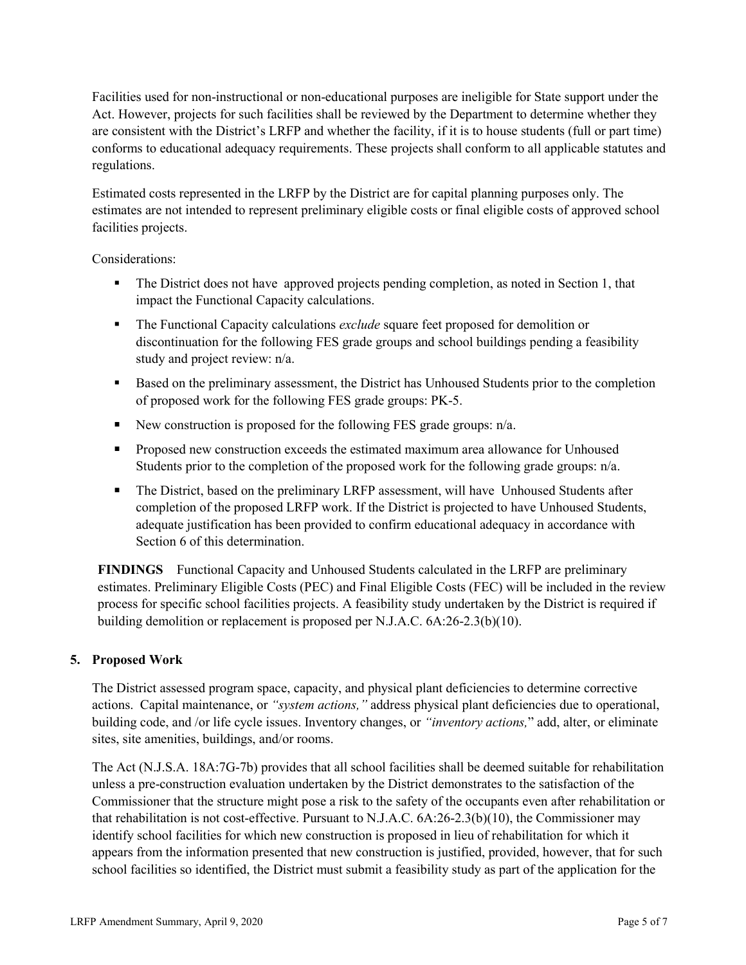Facilities used for non-instructional or non-educational purposes are ineligible for State support under the Act. However, projects for such facilities shall be reviewed by the Department to determine whether they are consistent with the District's LRFP and whether the facility, if it is to house students (full or part time) conforms to educational adequacy requirements. These projects shall conform to all applicable statutes and regulations.

Estimated costs represented in the LRFP by the District are for capital planning purposes only. The estimates are not intended to represent preliminary eligible costs or final eligible costs of approved school facilities projects.

Considerations:

- The District does not have approved projects pending completion, as noted in Section 1, that impact the Functional Capacity calculations.
- The Functional Capacity calculations *exclude* square feet proposed for demolition or discontinuation for the following FES grade groups and school buildings pending a feasibility study and project review: n/a.
- Based on the preliminary assessment, the District has Unhoused Students prior to the completion of proposed work for the following FES grade groups: PK-5.
- New construction is proposed for the following FES grade groups:  $n/a$ .
- **Proposed new construction exceeds the estimated maximum area allowance for Unhoused** Students prior to the completion of the proposed work for the following grade groups:  $n/a$ .
- The District, based on the preliminary LRFP assessment, will have Unhoused Students after completion of the proposed LRFP work. If the District is projected to have Unhoused Students, adequate justification has been provided to confirm educational adequacy in accordance with Section 6 of this determination.

**FINDINGS** Functional Capacity and Unhoused Students calculated in the LRFP are preliminary estimates. Preliminary Eligible Costs (PEC) and Final Eligible Costs (FEC) will be included in the review process for specific school facilities projects. A feasibility study undertaken by the District is required if building demolition or replacement is proposed per N.J.A.C. 6A:26-2.3(b)(10).

## **5. Proposed Work**

The District assessed program space, capacity, and physical plant deficiencies to determine corrective actions. Capital maintenance, or *"system actions,"* address physical plant deficiencies due to operational, building code, and /or life cycle issues. Inventory changes, or *"inventory actions,*" add, alter, or eliminate sites, site amenities, buildings, and/or rooms.

The Act (N.J.S.A. 18A:7G-7b) provides that all school facilities shall be deemed suitable for rehabilitation unless a pre-construction evaluation undertaken by the District demonstrates to the satisfaction of the Commissioner that the structure might pose a risk to the safety of the occupants even after rehabilitation or that rehabilitation is not cost-effective. Pursuant to N.J.A.C. 6A:26-2.3(b)(10), the Commissioner may identify school facilities for which new construction is proposed in lieu of rehabilitation for which it appears from the information presented that new construction is justified, provided, however, that for such school facilities so identified, the District must submit a feasibility study as part of the application for the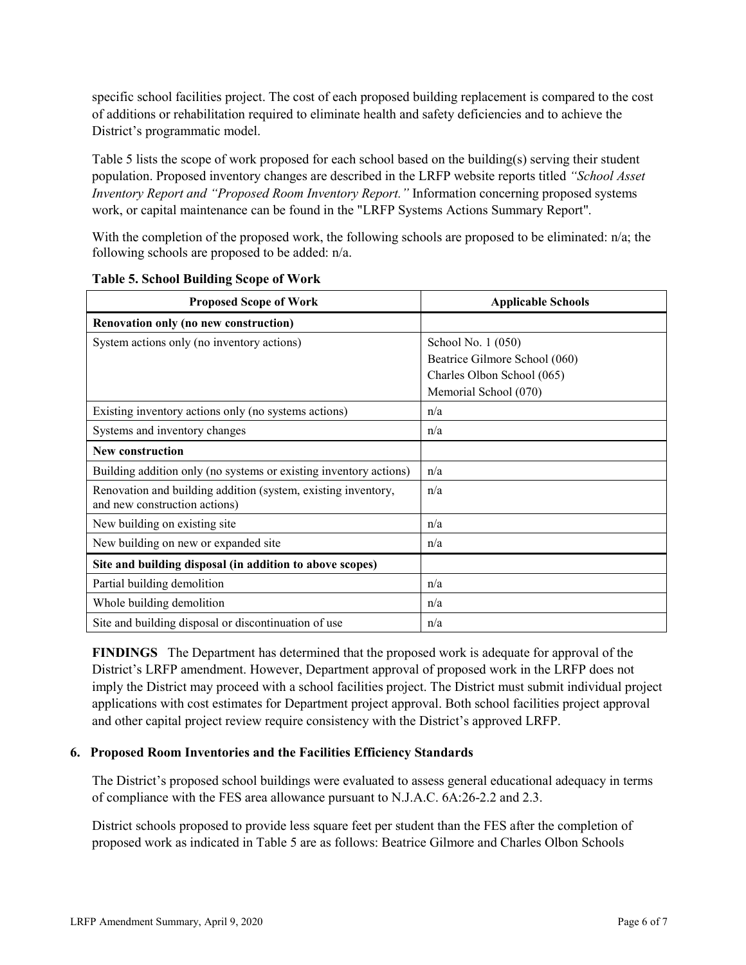specific school facilities project. The cost of each proposed building replacement is compared to the cost of additions or rehabilitation required to eliminate health and safety deficiencies and to achieve the District's programmatic model.

Table 5 lists the scope of work proposed for each school based on the building(s) serving their student population. Proposed inventory changes are described in the LRFP website reports titled *"School Asset Inventory Report and "Proposed Room Inventory Report."* Information concerning proposed systems work, or capital maintenance can be found in the "LRFP Systems Actions Summary Report".

With the completion of the proposed work, the following schools are proposed to be eliminated: n/a; the following schools are proposed to be added: n/a.

| <b>Proposed Scope of Work</b>                                                                  | <b>Applicable Schools</b>     |  |  |
|------------------------------------------------------------------------------------------------|-------------------------------|--|--|
| Renovation only (no new construction)                                                          |                               |  |  |
| System actions only (no inventory actions)                                                     | School No. 1 (050)            |  |  |
|                                                                                                | Beatrice Gilmore School (060) |  |  |
|                                                                                                | Charles Olbon School (065)    |  |  |
|                                                                                                | Memorial School (070)         |  |  |
| Existing inventory actions only (no systems actions)                                           | n/a                           |  |  |
| Systems and inventory changes                                                                  | n/a                           |  |  |
| <b>New construction</b>                                                                        |                               |  |  |
| Building addition only (no systems or existing inventory actions)                              | n/a                           |  |  |
| Renovation and building addition (system, existing inventory,<br>and new construction actions) | n/a                           |  |  |
| New building on existing site                                                                  | n/a                           |  |  |
| New building on new or expanded site                                                           | n/a                           |  |  |
| Site and building disposal (in addition to above scopes)                                       |                               |  |  |
| Partial building demolition                                                                    | n/a                           |  |  |
| Whole building demolition                                                                      | n/a                           |  |  |
| Site and building disposal or discontinuation of use                                           | n/a                           |  |  |

**Table 5. School Building Scope of Work**

**FINDINGS** The Department has determined that the proposed work is adequate for approval of the District's LRFP amendment. However, Department approval of proposed work in the LRFP does not imply the District may proceed with a school facilities project. The District must submit individual project applications with cost estimates for Department project approval. Both school facilities project approval and other capital project review require consistency with the District's approved LRFP.

#### **6. Proposed Room Inventories and the Facilities Efficiency Standards**

The District's proposed school buildings were evaluated to assess general educational adequacy in terms of compliance with the FES area allowance pursuant to N.J.A.C. 6A:26-2.2 and 2.3.

District schools proposed to provide less square feet per student than the FES after the completion of proposed work as indicated in Table 5 are as follows: Beatrice Gilmore and Charles Olbon Schools